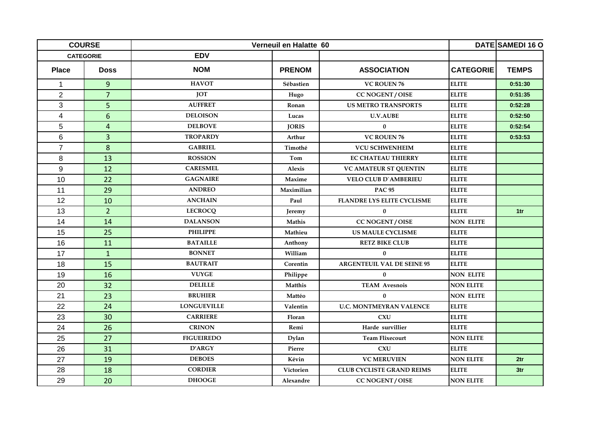| <b>COURSE</b><br><b>CATEGORIE</b> |                | Verneuil en Halatte 60 | DATE SAMEDI 16 O |                                   |                  |                 |
|-----------------------------------|----------------|------------------------|------------------|-----------------------------------|------------------|-----------------|
|                                   |                | <b>EDV</b>             |                  |                                   |                  |                 |
| <b>Place</b>                      | <b>Doss</b>    | <b>NOM</b>             | <b>PRENOM</b>    | <b>ASSOCIATION</b>                | <b>CATEGORIE</b> | <b>TEMPS</b>    |
| $\mathbf{1}$                      | 9              | <b>HAVOT</b>           | Sébastien        | <b>VC ROUEN 76</b>                | <b>ELITE</b>     | 0:51:30         |
| $\overline{2}$                    | $\overline{7}$ | <b>JOT</b>             | Hugo             | <b>CC NOGENT / OISE</b>           | <b>ELITE</b>     | 0:51:35         |
| 3                                 | 5              | <b>AUFFRET</b>         | Ronan            | <b>US METRO TRANSPORTS</b>        | <b>ELITE</b>     | 0:52:28         |
| $\overline{\mathbf{4}}$           | $6\phantom{1}$ | <b>DELOISON</b>        | Lucas            | <b>U.V.AUBE</b>                   | <b>ELITE</b>     | 0:52:50         |
| 5                                 | $\overline{4}$ | <b>DELBOVE</b>         | <b>JORIS</b>     | $\bf{0}$                          | <b>ELITE</b>     | 0:52:54         |
| 6                                 | $\overline{3}$ | <b>TROPARDY</b>        | Arthur           | <b>VC ROUEN 76</b>                | <b>ELITE</b>     | 0:53:53         |
| $\overline{7}$                    | 8              | <b>GABRIEL</b>         | Timothé          | <b>VCU SCHWENHEIM</b>             | <b>ELITE</b>     |                 |
| 8                                 | 13             | <b>ROSSION</b>         | Tom              | <b>EC CHATEAU THIERRY</b>         | <b>ELITE</b>     |                 |
| 9                                 | 12             | <b>CARESMEL</b>        | Alexis           | <b>VC AMATEUR ST QUENTIN</b>      | <b>ELITE</b>     |                 |
| 10                                | 22             | <b>GAGNAIRE</b>        | Maxime           | <b>VELO CLUB D'AMBERIEU</b>       | <b>ELITE</b>     |                 |
| 11                                | 29             | <b>ANDREO</b>          | Maximilian       | <b>PAC 95</b>                     | <b>ELITE</b>     |                 |
| 12                                | 10             | <b>ANCHAIN</b>         | Paul             | <b>FLANDRE LYS ELITE CYCLISME</b> | <b>ELITE</b>     |                 |
| 13                                | $\overline{2}$ | <b>LECROCQ</b>         | Jeremy           | $\bf{0}$                          | <b>ELITE</b>     | 1 <sub>tr</sub> |
| 14                                | 14             | <b>DALANSON</b>        | Mathis           | <b>CC NOGENT / OISE</b>           | <b>NON ELITE</b> |                 |
| 15                                | 25             | <b>PHILIPPE</b>        | Mathieu          | <b>US MAULE CYCLISME</b>          | <b>ELITE</b>     |                 |
| 16                                | 11             | <b>BATAILLE</b>        | Anthony          | <b>RETZ BIKE CLUB</b>             | <b>ELITE</b>     |                 |
| 17                                | $\mathbf{1}$   | <b>BONNET</b>          | William          | $\bf{0}$                          | <b>ELITE</b>     |                 |
| 18                                | 15             | <b>BAUTRAIT</b>        | Corentin         | <b>ARGENTEUIL VAL DE SEINE 95</b> | <b>ELITE</b>     |                 |
| 19                                | 16             | <b>VUYGE</b>           | Philippe         | $\bf{0}$                          | <b>NON ELITE</b> |                 |
| 20                                | 32             | <b>DELILLE</b>         | Matthis          | <b>TEAM Avesnois</b>              | <b>NON ELITE</b> |                 |
| 21                                | 23             | <b>BRUHIER</b>         | Mattéo           | $\bf{0}$                          | <b>NON ELITE</b> |                 |
| 22                                | 24             | <b>LONGUEVILLE</b>     | Valentin         | <b>U.C. MONTMEYRAN VALENCE</b>    | <b>ELITE</b>     |                 |
| 23                                | 30             | <b>CARRIERE</b>        | Floran           | <b>CXU</b>                        | <b>ELITE</b>     |                 |
| 24                                | 26             | <b>CRINON</b>          | Remi             | Harde survillier                  | <b>ELITE</b>     |                 |
| 25                                | 27             | <b>FIGUEIREDO</b>      | Dylan            | <b>Team Flixecourt</b>            | <b>NON ELITE</b> |                 |
| 26                                | 31             | <b>D'ARGY</b>          | Pierre           | CXU                               | <b>ELITE</b>     |                 |
| 27                                | 19             | <b>DEBOES</b>          | Kévin            | <b>VC MERUVIEN</b>                | <b>NON ELITE</b> | 2 <sup>tr</sup> |
| 28                                | 18             | <b>CORDIER</b>         | Victorien        | <b>CLUB CYCLISTE GRAND REIMS</b>  | <b>ELITE</b>     | 3 <sub>tr</sub> |
| 29                                | 20             | <b>DHOOGE</b>          | Alexandre        | <b>CC NOGENT / OISE</b>           | <b>NON ELITE</b> |                 |